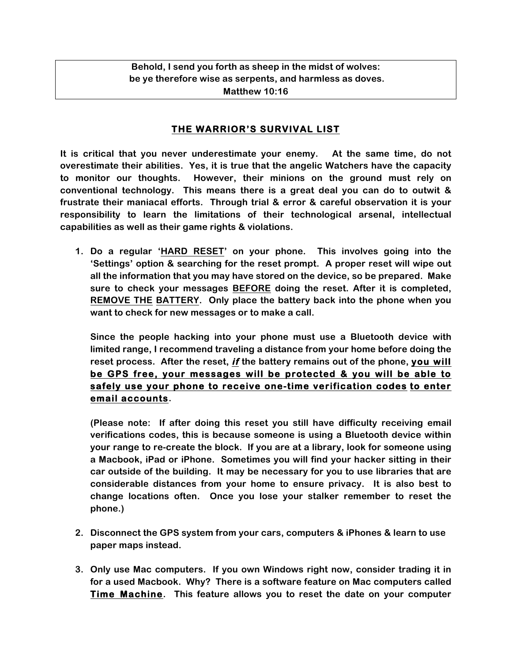**Behold, I send you forth as sheep in the midst of wolves: be ye therefore wise as serpents, and harmless as doves. Matthew 10:16**

## **THE WARRIOR'S SURVIVAL LIST**

**It is critical that you never underestimate your enemy. At the same time, do not overestimate their abilities. Yes, it is true that the angelic Watchers have the capacity to monitor our thoughts. However, their minions on the ground must rely on conventional technology. This means there is a great deal you can do to outwit & frustrate their maniacal efforts. Through trial & error & careful observation it is your responsibility to learn the limitations of their technological arsenal, intellectual capabilities as well as their game rights & violations.**

**1. Do a regular 'HARD RESET' on your phone. This involves going into the 'Settings' option & searching for the reset prompt. A proper reset will wipe out all the information that you may have stored on the device, so be prepared. Make sure to check your messages BEFORE doing the reset. After it is completed, REMOVE THE BATTERY. Only place the battery back into the phone when you want to check for new messages or to make a call.** 

**Since the people hacking into your phone must use a Bluetooth device with limited range, I recommend traveling a distance from your home before doing the reset process. After the reset, if the battery remains out of the phone, you will be GPS free, your messages will be protected & you will be able to safely use your phone to receive one-time verification codes to enter email accounts.** 

**(Please note: If after doing this reset you still have difficulty receiving email verifications codes, this is because someone is using a Bluetooth device within your range to re-create the block. If you are at a library, look for someone using a Macbook, iPad or iPhone. Sometimes you will find your hacker sitting in their car outside of the building. It may be necessary for you to use libraries that are considerable distances from your home to ensure privacy. It is also best to change locations often. Once you lose your stalker remember to reset the phone.)**

- **2. Disconnect the GPS system from your cars, computers & iPhones & learn to use paper maps instead.**
- **3. Only use Mac computers. If you own Windows right now, consider trading it in for a used Macbook. Why? There is a software feature on Mac computers called Time Machine. This feature allows you to reset the date on your computer**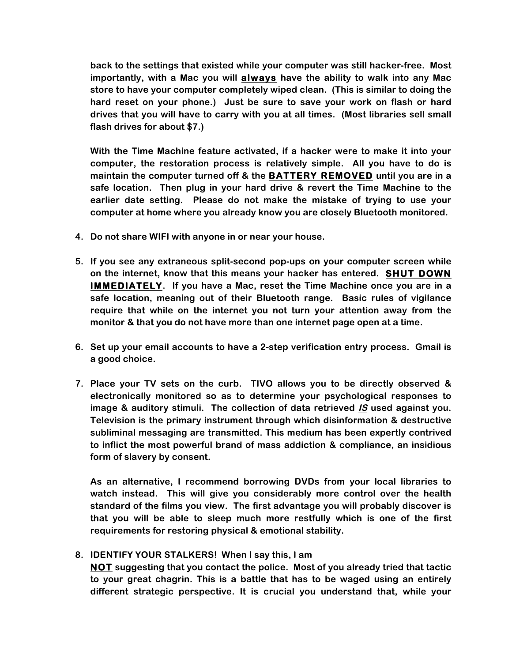**back to the settings that existed while your computer was still hacker-free. Most importantly, with a Mac you will always have the ability to walk into any Mac store to have your computer completely wiped clean. (This is similar to doing the hard reset on your phone.) Just be sure to save your work on flash or hard drives that you will have to carry with you at all times. (Most libraries sell small flash drives for about \$7.)**

**With the Time Machine feature activated, if a hacker were to make it into your computer, the restoration process is relatively simple. All you have to do is maintain the computer turned off & the BATTERY REMOVED until you are in a safe location. Then plug in your hard drive & revert the Time Machine to the earlier date setting. Please do not make the mistake of trying to use your computer at home where you already know you are closely Bluetooth monitored.** 

- **4. Do not share WIFI with anyone in or near your house.**
- **5. If you see any extraneous split-second pop-ups on your computer screen while on the internet, know that this means your hacker has entered. SHUT DOWN IMMEDIATELY. If you have a Mac, reset the Time Machine once you are in a safe location, meaning out of their Bluetooth range. Basic rules of vigilance require that while on the internet you not turn your attention away from the monitor & that you do not have more than one internet page open at a time.**
- **6. Set up your email accounts to have a 2-step verification entry process. Gmail is a good choice.**
- **7. Place your TV sets on the curb. TIVO allows you to be directly observed & electronically monitored so as to determine your psychological responses to image & auditory stimuli. The collection of data retrieved IS used against you. Television is the primary instrument through which disinformation & destructive subliminal messaging are transmitted. This medium has been expertly contrived to inflict the most powerful brand of mass addiction & compliance, an insidious form of slavery by consent.**

**As an alternative, I recommend borrowing DVDs from your local libraries to watch instead. This will give you considerably more control over the health standard of the films you view. The first advantage you will probably discover is that you will be able to sleep much more restfully which is one of the first requirements for restoring physical & emotional stability.**

## **8. IDENTIFY YOUR STALKERS! When I say this, I am**

**NOT suggesting that you contact the police. Most of you already tried that tactic to your great chagrin. This is a battle that has to be waged using an entirely different strategic perspective. It is crucial you understand that, while your**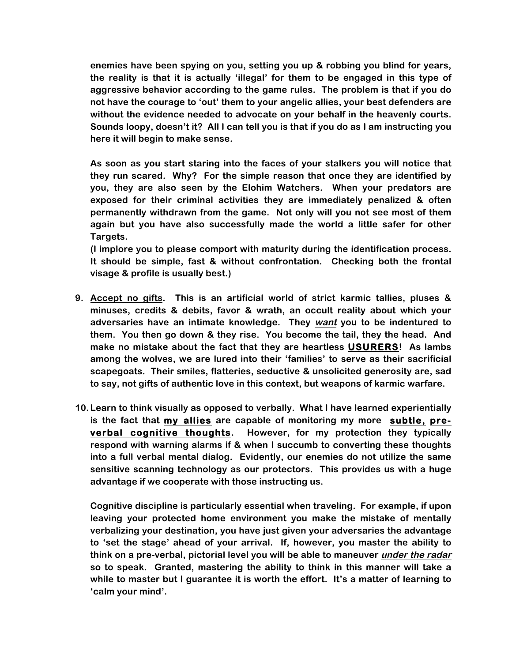**enemies have been spying on you, setting you up & robbing you blind for years, the reality is that it is actually 'illegal' for them to be engaged in this type of aggressive behavior according to the game rules. The problem is that if you do not have the courage to 'out' them to your angelic allies, your best defenders are without the evidence needed to advocate on your behalf in the heavenly courts. Sounds loopy, doesn't it? All I can tell you is that if you do as I am instructing you here it will begin to make sense.** 

**As soon as you start staring into the faces of your stalkers you will notice that they run scared. Why? For the simple reason that once they are identified by you, they are also seen by the Elohim Watchers. When your predators are exposed for their criminal activities they are immediately penalized & often permanently withdrawn from the game. Not only will you not see most of them again but you have also successfully made the world a little safer for other Targets.** 

**(I implore you to please comport with maturity during the identification process. It should be simple, fast & without confrontation. Checking both the frontal visage & profile is usually best.)**

- **9. Accept no gifts. This is an artificial world of strict karmic tallies, pluses & minuses, credits & debits, favor & wrath, an occult reality about which your adversaries have an intimate knowledge. They want you to be indentured to them. You then go down & they rise. You become the tail, they the head. And make no mistake about the fact that they are heartless USURERS! As lambs among the wolves, we are lured into their 'families' to serve as their sacrificial scapegoats. Their smiles, flatteries, seductive & unsolicited generosity are, sad to say, not gifts of authentic love in this context, but weapons of karmic warfare.**
- **10.Learn to think visually as opposed to verbally. What I have learned experientially is the fact that my allies are capable of monitoring my more subtle, preverbal cognitive thoughts. However, for my protection they typically respond with warning alarms if & when I succumb to converting these thoughts into a full verbal mental dialog. Evidently, our enemies do not utilize the same sensitive scanning technology as our protectors. This provides us with a huge advantage if we cooperate with those instructing us.**

**Cognitive discipline is particularly essential when traveling. For example, if upon leaving your protected home environment you make the mistake of mentally verbalizing your destination, you have just given your adversaries the advantage to 'set the stage' ahead of your arrival. If, however, you master the ability to think on a pre-verbal, pictorial level you will be able to maneuver under the radar so to speak. Granted, mastering the ability to think in this manner will take a while to master but I guarantee it is worth the effort. It's a matter of learning to 'calm your mind'.**